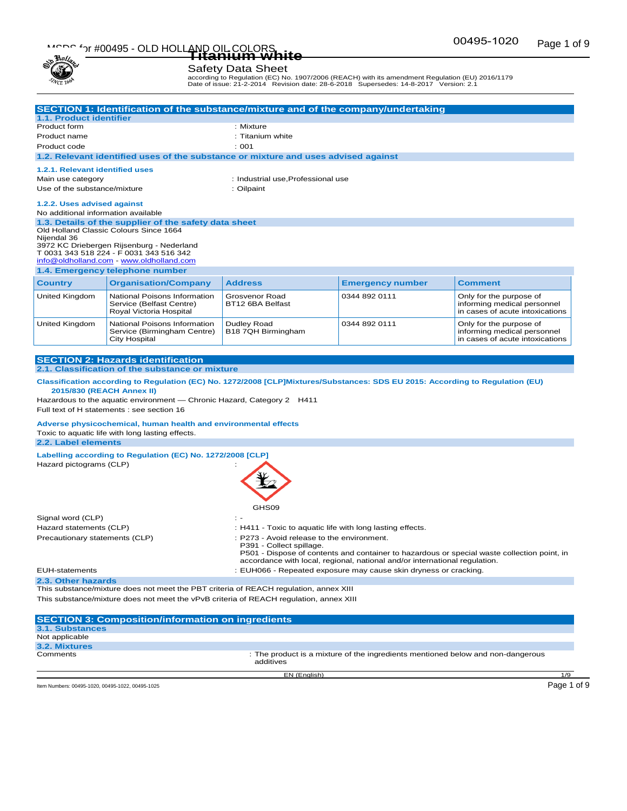# Page 1 of 9 MSDS for #00495 - OLD HOLLAND OIL COLORS **Titanium white**



### Safety Data Sheet

according to Regulation (EC) No. 1907/2006 (REACH) with its amendment Regulation (EU) 2016/1179 Date of issue: 21-2-2014 Revision date: 28-6-2018 Supersedes: 14-8-2017 Version: 2.1

|                                                                                             | SECTION 1: Identification of the substance/mixture and of the company/undertaking                                             |                                                           |                                                                                 |                                                        |  |
|---------------------------------------------------------------------------------------------|-------------------------------------------------------------------------------------------------------------------------------|-----------------------------------------------------------|---------------------------------------------------------------------------------|--------------------------------------------------------|--|
| 1.1. Product identifier                                                                     |                                                                                                                               |                                                           |                                                                                 |                                                        |  |
| Product form                                                                                |                                                                                                                               | : Mixture                                                 |                                                                                 |                                                        |  |
| Product name                                                                                |                                                                                                                               | : Titanium white                                          |                                                                                 |                                                        |  |
| Product code                                                                                |                                                                                                                               | : 001                                                     |                                                                                 |                                                        |  |
|                                                                                             | 1.2. Relevant identified uses of the substance or mixture and uses advised against                                            |                                                           |                                                                                 |                                                        |  |
| 1.2.1. Relevant identified uses                                                             |                                                                                                                               |                                                           |                                                                                 |                                                        |  |
| Main use category                                                                           |                                                                                                                               | : Industrial use, Professional use                        |                                                                                 |                                                        |  |
| Use of the substance/mixture                                                                |                                                                                                                               | : Oilpaint                                                |                                                                                 |                                                        |  |
|                                                                                             |                                                                                                                               |                                                           |                                                                                 |                                                        |  |
| 1.2.2. Uses advised against                                                                 |                                                                                                                               |                                                           |                                                                                 |                                                        |  |
| No additional information available                                                         |                                                                                                                               |                                                           |                                                                                 |                                                        |  |
|                                                                                             | 1.3. Details of the supplier of the safety data sheet<br>Old Holland Classic Colours Since 1664                               |                                                           |                                                                                 |                                                        |  |
| Niiendal 36                                                                                 |                                                                                                                               |                                                           |                                                                                 |                                                        |  |
|                                                                                             | 3972 KC Driebergen Rijsenburg - Nederland                                                                                     |                                                           |                                                                                 |                                                        |  |
|                                                                                             | T 0031 343 518 224 - F 0031 343 516 342<br>info@oldholland.com - www.oldholland.com                                           |                                                           |                                                                                 |                                                        |  |
|                                                                                             | 1.4. Emergency telephone number                                                                                               |                                                           |                                                                                 |                                                        |  |
| <b>Country</b>                                                                              | <b>Organisation/Company</b>                                                                                                   | <b>Address</b>                                            | <b>Emergency number</b>                                                         | <b>Comment</b>                                         |  |
|                                                                                             |                                                                                                                               |                                                           |                                                                                 |                                                        |  |
| United Kingdom                                                                              | National Poisons Information<br>Service (Belfast Centre)                                                                      | Grosvenor Road<br>BT12 6BA Belfast                        | 0344 892 0111                                                                   | Only for the purpose of<br>informing medical personnel |  |
|                                                                                             | Royal Victoria Hospital                                                                                                       |                                                           |                                                                                 | in cases of acute intoxications                        |  |
| <b>United Kingdom</b>                                                                       | National Poisons Information                                                                                                  | Dudley Road                                               | 0344 892 0111                                                                   | Only for the purpose of                                |  |
|                                                                                             | Service (Birmingham Centre)                                                                                                   | B18 7QH Birmingham                                        |                                                                                 | informing medical personnel                            |  |
|                                                                                             | <b>City Hospital</b>                                                                                                          |                                                           |                                                                                 | in cases of acute intoxications                        |  |
|                                                                                             |                                                                                                                               |                                                           |                                                                                 |                                                        |  |
|                                                                                             | <b>SECTION 2: Hazards identification</b>                                                                                      |                                                           |                                                                                 |                                                        |  |
|                                                                                             | 2.1. Classification of the substance or mixture                                                                               |                                                           |                                                                                 |                                                        |  |
|                                                                                             | Classification according to Regulation (EC) No. 1272/2008 [CLP]Mixtures/Substances: SDS EU 2015: According to Regulation (EU) |                                                           |                                                                                 |                                                        |  |
| 2015/830 (REACH Annex II)                                                                   |                                                                                                                               |                                                           |                                                                                 |                                                        |  |
|                                                                                             | Hazardous to the aquatic environment — Chronic Hazard, Category 2 H411                                                        |                                                           |                                                                                 |                                                        |  |
|                                                                                             | Full text of H statements : see section 16                                                                                    |                                                           |                                                                                 |                                                        |  |
|                                                                                             | Adverse physicochemical, human health and environmental effects                                                               |                                                           |                                                                                 |                                                        |  |
|                                                                                             | Toxic to aquatic life with long lasting effects.                                                                              |                                                           |                                                                                 |                                                        |  |
| 2.2. Label elements                                                                         |                                                                                                                               |                                                           |                                                                                 |                                                        |  |
|                                                                                             | Labelling according to Regulation (EC) No. 1272/2008 [CLP]                                                                    |                                                           |                                                                                 |                                                        |  |
| Hazard pictograms (CLP)                                                                     |                                                                                                                               |                                                           |                                                                                 |                                                        |  |
|                                                                                             |                                                                                                                               |                                                           |                                                                                 |                                                        |  |
|                                                                                             |                                                                                                                               |                                                           |                                                                                 |                                                        |  |
|                                                                                             |                                                                                                                               |                                                           |                                                                                 |                                                        |  |
|                                                                                             |                                                                                                                               | GHS09                                                     |                                                                                 |                                                        |  |
| Signal word (CLP)                                                                           |                                                                                                                               |                                                           |                                                                                 |                                                        |  |
| Hazard statements (CLP)                                                                     |                                                                                                                               | : H411 - Toxic to aquatic life with long lasting effects. |                                                                                 |                                                        |  |
| Precautionary statements (CLP)                                                              |                                                                                                                               | : P273 - Avoid release to the environment.                |                                                                                 |                                                        |  |
|                                                                                             |                                                                                                                               | P391 - Collect spillage.                                  |                                                                                 |                                                        |  |
| P501 - Dispose of contents and container to hazardous or special waste collection point, in |                                                                                                                               |                                                           |                                                                                 |                                                        |  |
| accordance with local, regional, national and/or international regulation.                  |                                                                                                                               |                                                           |                                                                                 |                                                        |  |
| : EUH066 - Repeated exposure may cause skin dryness or cracking.<br><b>EUH-statements</b>   |                                                                                                                               |                                                           |                                                                                 |                                                        |  |
| 2.3. Other hazards                                                                          | This substance/mixture does not meet the PBT criteria of REACH regulation, annex XIII                                         |                                                           |                                                                                 |                                                        |  |
|                                                                                             |                                                                                                                               |                                                           |                                                                                 |                                                        |  |
| This substance/mixture does not meet the vPvB criteria of REACH regulation, annex XIII      |                                                                                                                               |                                                           |                                                                                 |                                                        |  |
|                                                                                             | <b>SECTION 3: Composition/information on ingredients</b>                                                                      |                                                           |                                                                                 |                                                        |  |
| <b>3.1. Substances</b>                                                                      |                                                                                                                               |                                                           |                                                                                 |                                                        |  |
| Not applicable                                                                              |                                                                                                                               |                                                           |                                                                                 |                                                        |  |
| 3.2. Mixtures                                                                               |                                                                                                                               |                                                           |                                                                                 |                                                        |  |
| Comments                                                                                    |                                                                                                                               |                                                           | : The product is a mixture of the ingredients mentioned below and non-dangerous |                                                        |  |

EN (English) 1/9

Comments **in the product is a mixture of the ingredients mentioned below and non-dangerous**<br>
comments<br>
comments

Item Numbers: 00495-1020, 00495-1022, 00495-1025 Page 1 of 9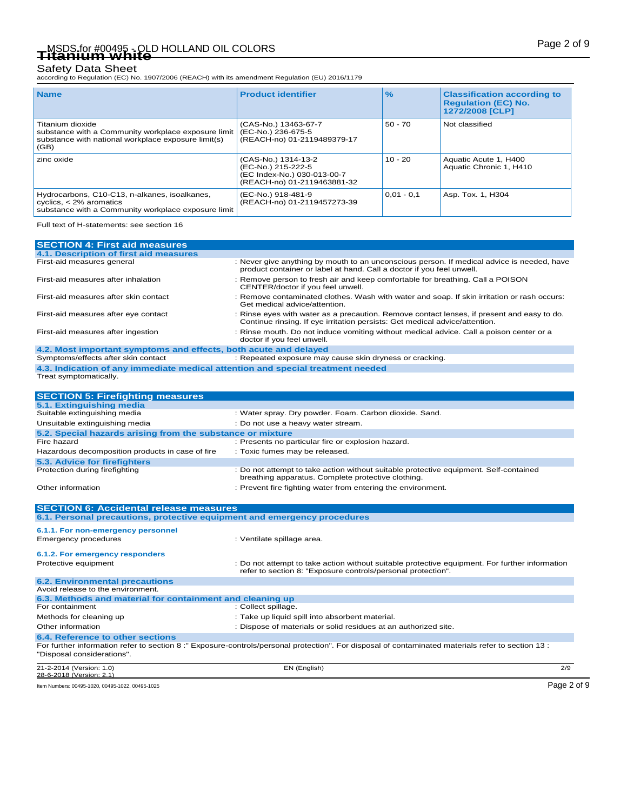Safety Data Sheet<br>according to Regulation (EC) No. 1907/2006 (REACH) with its amendment Regulation (EU) 2016/1179

| <b>Name</b>                                                                                                                            | <b>Product identifier</b>                                                                               | $\frac{9}{6}$ | <b>Classification according to</b><br><b>Regulation (EC) No.</b><br>1272/2008 [CLP] |
|----------------------------------------------------------------------------------------------------------------------------------------|---------------------------------------------------------------------------------------------------------|---------------|-------------------------------------------------------------------------------------|
| Titanium dioxide<br>substance with a Community workplace exposure limit<br>substance with national workplace exposure limit(s)<br>(GB) | (CAS-No.) 13463-67-7<br>(EC-No.) 236-675-5<br>(REACH-no) 01-2119489379-17                               | $50 - 70$     | Not classified                                                                      |
| zinc oxide                                                                                                                             | (CAS-No.) 1314-13-2<br>(EC-No.) 215-222-5<br>(EC Index-No.) 030-013-00-7<br>(REACH-no) 01-2119463881-32 | $10 - 20$     | Aquatic Acute 1, H400<br>Aquatic Chronic 1, H410                                    |
| Hydrocarbons, C10-C13, n-alkanes, isoalkanes,<br>cyclics, $<$ 2% aromatics<br>substance with a Community workplace exposure limit      | (EC-No.) 918-481-9<br>(REACH-no) 01-2119457273-39                                                       | $0,01 - 0,1$  | Asp. Tox. 1, H304                                                                   |

Full text of H-statements: see section 16

| <b>SECTION 4: First aid measures</b>                                                                      |                                                                                                                                                                           |
|-----------------------------------------------------------------------------------------------------------|---------------------------------------------------------------------------------------------------------------------------------------------------------------------------|
| 4.1. Description of first aid measures                                                                    |                                                                                                                                                                           |
| First-aid measures general                                                                                | : Never give anything by mouth to an unconscious person. If medical advice is needed, have<br>product container or label at hand. Call a doctor if you feel unwell.       |
| First-aid measures after inhalation                                                                       | : Remove person to fresh air and keep comfortable for breathing. Call a POISON<br>CENTER/doctor if you feel unwell.                                                       |
| First-aid measures after skin contact                                                                     | : Remove contaminated clothes. Wash with water and soap. If skin irritation or rash occurs:<br>Get medical advice/attention.                                              |
| First-aid measures after eye contact                                                                      | : Rinse eyes with water as a precaution. Remove contact lenses, if present and easy to do.<br>Continue rinsing. If eye irritation persists: Get medical advice/attention. |
| First-aid measures after ingestion                                                                        | : Rinse mouth. Do not induce vomiting without medical advice. Call a poison center or a<br>doctor if you feel unwell.                                                     |
| 4.2. Most important symptoms and effects, both acute and delayed                                          |                                                                                                                                                                           |
| Symptoms/effects after skin contact                                                                       | : Repeated exposure may cause skin dryness or cracking.                                                                                                                   |
| 4.3. Indication of any immediate medical attention and special treatment needed<br>Treat symptomatically. |                                                                                                                                                                           |
| <b>SECTION 5: Firefighting measures</b>                                                                   |                                                                                                                                                                           |
| 5.1. Extinguishing media<br>Suitable extinguishing media                                                  | : Water spray. Dry powder. Foam. Carbon dioxide. Sand.                                                                                                                    |
|                                                                                                           |                                                                                                                                                                           |
| Unsuitable extinguishing media                                                                            | : Do not use a heavy water stream.                                                                                                                                        |
| 5.2. Special hazards arising from the substance or mixture<br>Fire hazard                                 | : Presents no particular fire or explosion hazard.                                                                                                                        |
|                                                                                                           |                                                                                                                                                                           |
| Hazardous decomposition products in case of fire                                                          | : Toxic fumes may be released.                                                                                                                                            |
| 5.3. Advice for firefighters                                                                              |                                                                                                                                                                           |
| Protection during firefighting                                                                            | : Do not attempt to take action without suitable protective equipment. Self-contained<br>breathing apparatus. Complete protective clothing.                               |
| Other information                                                                                         | : Prevent fire fighting water from entering the environment.                                                                                                              |
| <b>SECTION 6: Accidental release measures</b>                                                             |                                                                                                                                                                           |
| 6.1. Personal precautions, protective equipment and emergency procedures                                  |                                                                                                                                                                           |
| 6.1.1. For non-emergency personnel                                                                        |                                                                                                                                                                           |
| <b>Emergency procedures</b>                                                                               | : Ventilate spillage area.                                                                                                                                                |
|                                                                                                           |                                                                                                                                                                           |
| 6.1.2. For emergency responders<br>Protective equipment                                                   | : Do not attempt to take action without suitable protective equipment. For further information                                                                            |
|                                                                                                           | refer to section 8: "Exposure controls/personal protection".                                                                                                              |
| <b>6.2. Environmental precautions</b><br>Avoid release to the environment.                                |                                                                                                                                                                           |
| 6.3. Methods and material for containment and cleaning up                                                 |                                                                                                                                                                           |
| For containment                                                                                           | : Collect spillage.                                                                                                                                                       |
| Methods for cleaning up                                                                                   | : Take up liquid spill into absorbent material.                                                                                                                           |
| Other information                                                                                         | : Dispose of materials or solid residues at an authorized site.                                                                                                           |
| 6.4. Reference to other sections                                                                          |                                                                                                                                                                           |
| "Disposal considerations".                                                                                | For further information refer to section 8:" Exposure-controls/personal protection". For disposal of contaminated materials refer to section 13:                          |
| 21-2-2014 (Version: 1.0)<br>28-6-2018 (Version: 2.1)                                                      | EN (English)<br>2/9                                                                                                                                                       |
|                                                                                                           | Page 2 of 9                                                                                                                                                               |
| Item Numbers: 00495-1020, 00495-1022, 00495-1025                                                          |                                                                                                                                                                           |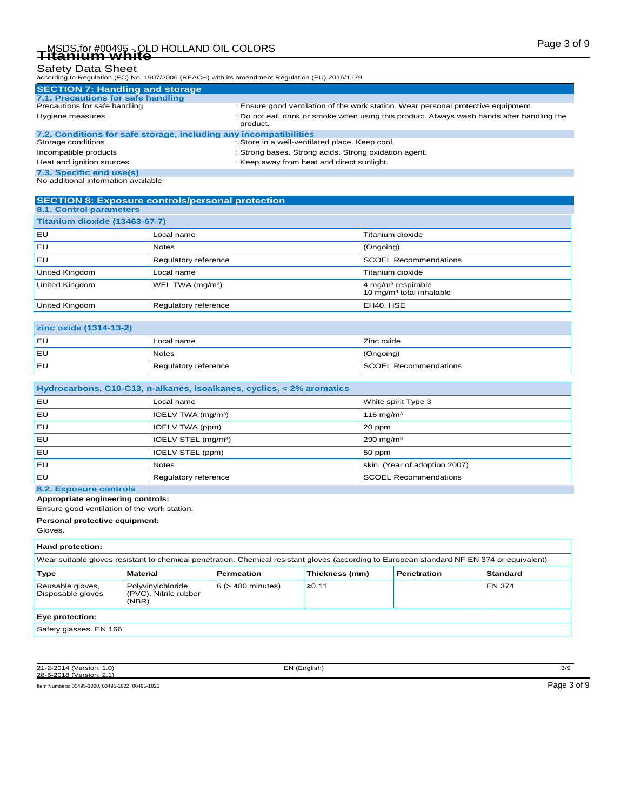# Page 3 of 9 MSDS for #00495 - OLD HOLLAND OIL COLORS **Titanium white**

## Safety Data Sheet

according to Regulation (EC) No. 1907/2006 (REACH) with its amendment Regulation (EU) 2016/1179

| <b>SECTION 7: Handling and storage</b>                            |                                                                                                        |  |  |  |
|-------------------------------------------------------------------|--------------------------------------------------------------------------------------------------------|--|--|--|
| 7.1. Precautions for safe handling                                |                                                                                                        |  |  |  |
| Precautions for safe handling                                     | : Ensure good ventilation of the work station. Wear personal protective equipment.                     |  |  |  |
| Hygiene measures                                                  | : Do not eat, drink or smoke when using this product. Always wash hands after handling the<br>product. |  |  |  |
| 7.2. Conditions for safe storage, including any incompatibilities |                                                                                                        |  |  |  |
| Storage conditions                                                | : Store in a well-ventilated place. Keep cool.                                                         |  |  |  |
| Incompatible products                                             | : Strong bases. Strong acids. Strong oxidation agent.                                                  |  |  |  |
| Heat and ignition sources                                         | : Keep away from heat and direct sunlight.                                                             |  |  |  |
|                                                                   |                                                                                                        |  |  |  |

**7.3. Specific end use(s)** No additional information available

#### **SECTION 8: Exposure controls/personal protection 8.1. Control parameters**

| Titanium dioxide (13463-67-7) |                              |                                                                          |  |  |
|-------------------------------|------------------------------|--------------------------------------------------------------------------|--|--|
| l EU.                         | Local name                   | Titanium dioxide                                                         |  |  |
| l EU.                         | <b>Notes</b>                 | (Ongoing)                                                                |  |  |
| l EU.                         | Regulatory reference         | <b>SCOEL Recommendations</b>                                             |  |  |
| United Kingdom                | Local name                   | Titanium dioxide                                                         |  |  |
| <b>United Kingdom</b>         | WEL TWA (mg/m <sup>3</sup> ) | $4$ mg/m <sup>3</sup> respirable<br>10 mg/m <sup>3</sup> total inhalable |  |  |
| <b>United Kingdom</b>         | Regulatory reference         | EH40. HSE                                                                |  |  |

| <b>zinc oxide (1314-13-2)</b> |                      |                       |  |  |
|-------------------------------|----------------------|-----------------------|--|--|
| EU                            | Local name           | Zinc oxide            |  |  |
| EL                            | <b>Notes</b>         | $\sqrt{(Ongoing)}$    |  |  |
| EU                            | Regulatory reference | SCOEL Recommendations |  |  |

| Hydrocarbons, C10-C13, n-alkanes, isoalkanes, cyclics, < 2% aromatics |                                 |                               |  |  |
|-----------------------------------------------------------------------|---------------------------------|-------------------------------|--|--|
| ΕU                                                                    | Local name                      | White spirit Type 3           |  |  |
| EU                                                                    | IOELV TWA (mg/m <sup>3</sup> )  | $116$ mg/m <sup>3</sup>       |  |  |
| EU                                                                    | IOELV TWA (ppm)                 | 20 ppm                        |  |  |
| EU                                                                    | IOELV STEL (mg/m <sup>3</sup> ) | 290 mg/m $3$                  |  |  |
| ΕU                                                                    | IOELV STEL (ppm)                | 50 ppm                        |  |  |
| ΕU                                                                    | <b>Notes</b>                    | skin. (Year of adoption 2007) |  |  |
| EU                                                                    | Regulatory reference            | <b>SCOEL Recommendations</b>  |  |  |

## **8.2. Exposure controls**

**Appropriate engineering controls:**

Ensure good ventilation of the work station.

**Personal protective equipment:**

Gloves.

| Hand protection:                                                                          |                                                                                                                                            |                        |       |  |        |  |  |
|-------------------------------------------------------------------------------------------|--------------------------------------------------------------------------------------------------------------------------------------------|------------------------|-------|--|--------|--|--|
|                                                                                           | Wear suitable gloves resistant to chemical penetration. Chemical resistant gloves (according to European standard NF EN 374 or equivalent) |                        |       |  |        |  |  |
| <b>Material</b><br>Thickness (mm)<br>Standard<br>Permeation<br><b>Penetration</b><br>Type |                                                                                                                                            |                        |       |  |        |  |  |
| Reusable gloves,<br>Disposable gloves                                                     | Polyvinylchloride<br>(PVC), Nitrile rubber<br>(NBR)                                                                                        | $6$ ( $>$ 480 minutes) | ≥0.11 |  | EN 374 |  |  |
| Eye protection:                                                                           |                                                                                                                                            |                        |       |  |        |  |  |
| Safety glasses. EN 166                                                                    |                                                                                                                                            |                        |       |  |        |  |  |

21-2-2014 (Version: 1.0) EN (English) 3/9 28-6-2018 (Version: 2.1)

Item Numbers: 00495-1020, 00495-1022, 00495-1025 Page 3 of 9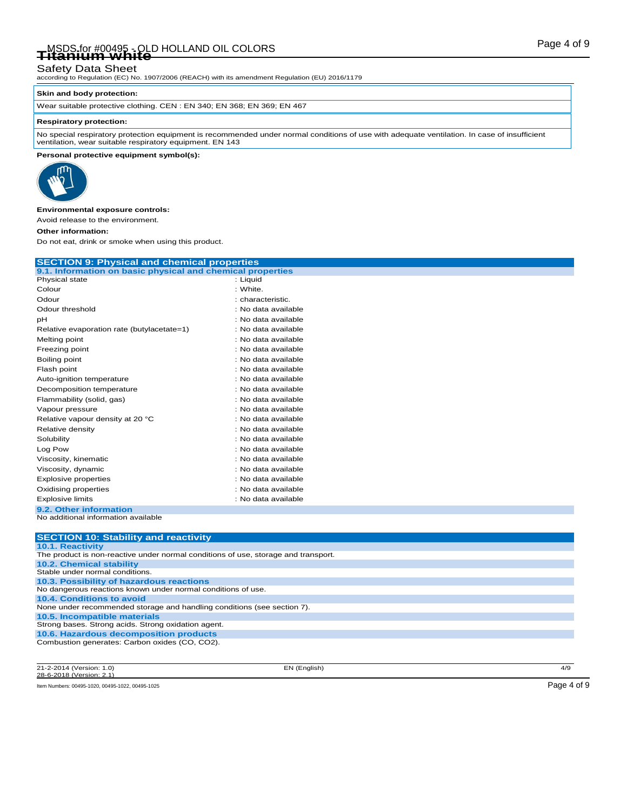# Page 4 of 9 MSDS for #00495 - OLD HOLLAND OIL COLORS **Titanium white**

### Safety Data Sheet

according to Regulation (EC) No. 1907/2006 (REACH) with its amendment Regulation (EU) 2016/1179

#### **Skin and body protection:**

Wear suitable protective clothing. CEN : EN 340; EN 368; EN 369; EN 467

#### **Respiratory protection:**

No special respiratory protection equipment is recommended under normal conditions of use with adequate ventilation. In case of insufficient ventilation, wear suitable respiratory equipment. EN 143

#### **Personal protective equipment symbol(s):**



#### **Environmental exposure controls:**

Avoid release to the environment.

#### **Other information:**

Do not eat, drink or smoke when using this product.

| <b>SECTION 9: Physical and chemical properties</b>         |                     |  |  |  |  |
|------------------------------------------------------------|---------------------|--|--|--|--|
| 9.1. Information on basic physical and chemical properties |                     |  |  |  |  |
| Physical state                                             | : Liquid            |  |  |  |  |
| Colour                                                     | : White.            |  |  |  |  |
| Odour                                                      | : characteristic.   |  |  |  |  |
| Odour threshold                                            | : No data available |  |  |  |  |
| pH                                                         | : No data available |  |  |  |  |
| Relative evaporation rate (butylacetate=1)                 | : No data available |  |  |  |  |
| Melting point                                              | : No data available |  |  |  |  |
| Freezing point                                             | : No data available |  |  |  |  |
| Boiling point                                              | : No data available |  |  |  |  |
| Flash point                                                | : No data available |  |  |  |  |
| Auto-ignition temperature                                  | : No data available |  |  |  |  |
| Decomposition temperature                                  | : No data available |  |  |  |  |
| Flammability (solid, gas)                                  | : No data available |  |  |  |  |
| Vapour pressure                                            | : No data available |  |  |  |  |
| Relative vapour density at 20 °C                           | : No data available |  |  |  |  |
| Relative density                                           | : No data available |  |  |  |  |
| Solubility                                                 | : No data available |  |  |  |  |
| Log Pow                                                    | : No data available |  |  |  |  |
| Viscosity, kinematic                                       | : No data available |  |  |  |  |
| Viscosity, dynamic                                         | : No data available |  |  |  |  |
| Explosive properties                                       | : No data available |  |  |  |  |
| Oxidising properties                                       | : No data available |  |  |  |  |
| <b>Explosive limits</b>                                    | : No data available |  |  |  |  |
| 9.2. Other information                                     |                     |  |  |  |  |
| No additional information available                        |                     |  |  |  |  |
|                                                            |                     |  |  |  |  |

| <b>SECTION 10: Stability and reactivity</b>                                        |
|------------------------------------------------------------------------------------|
| 10.1. Reactivity                                                                   |
| The product is non-reactive under normal conditions of use, storage and transport. |
| <b>10.2. Chemical stability</b>                                                    |
| Stable under normal conditions.                                                    |
| 10.3. Possibility of hazardous reactions                                           |
| No dangerous reactions known under normal conditions of use.                       |
| 10.4. Conditions to avoid                                                          |
| None under recommended storage and handling conditions (see section 7).            |
| 10.5. Incompatible materials                                                       |
| Strong bases. Strong acids. Strong oxidation agent.                                |
| 10.6. Hazardous decomposition products                                             |
| Combustion generates: Carbon oxides (CO, CO2).                                     |
|                                                                                    |

21-2-2014 (Version: 1.0) EN (English) 4/9 28-6-2018 (Version:

Item Numbers: 00495-1020, 00495-1022, 00495-1025 Page 4 of 9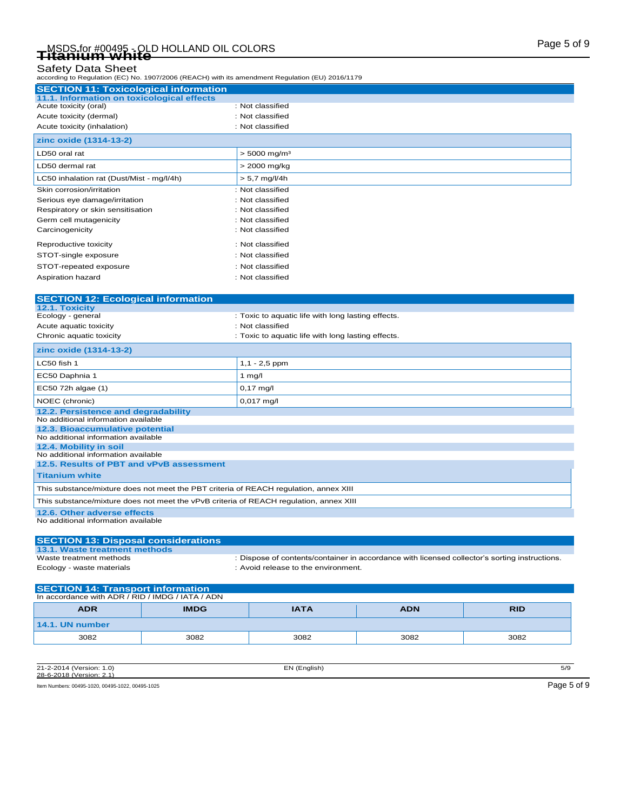### Safety Data Sheet

according to Regulation (EC) No. 1907/2006 (REACH) with its amendment Regulation (EU) 2016/1179

| <b>SECTION 11: Toxicological information</b> |                                                    |
|----------------------------------------------|----------------------------------------------------|
| 11.1. Information on toxicological effects   |                                                    |
| Acute toxicity (oral)                        | : Not classified                                   |
| Acute toxicity (dermal)                      | : Not classified                                   |
| Acute toxicity (inhalation)                  | : Not classified                                   |
| zinc oxide (1314-13-2)                       |                                                    |
| LD50 oral rat                                | $> 5000$ mg/m <sup>3</sup>                         |
| LD50 dermal rat                              | > 2000 mg/kg                                       |
| LC50 inhalation rat (Dust/Mist - mg/l/4h)    | $> 5.7$ mg/l/4h                                    |
| Skin corrosion/irritation                    | : Not classified                                   |
| Serious eye damage/irritation                | : Not classified                                   |
| Respiratory or skin sensitisation            | : Not classified                                   |
| Germ cell mutagenicity                       | : Not classified                                   |
| Carcinogenicity                              | : Not classified                                   |
| Reproductive toxicity                        | : Not classified                                   |
| STOT-single exposure                         | : Not classified                                   |
| STOT-repeated exposure                       | : Not classified                                   |
| Aspiration hazard                            | : Not classified                                   |
| <b>SECTION 12: Ecological information</b>    |                                                    |
| 12.1. Toxicity                               |                                                    |
| Ecology - general                            | : Toxic to aquatic life with long lasting effects. |
| Acute aquatic toxicity                       | : Not classified                                   |
| Chronic aquatic toxicity                     | : Toxic to aquatic life with long lasting effects. |
| zinc oxide (1314-13-2)                       |                                                    |
| LC50 fish 1                                  | $1,1 - 2,5$ ppm                                    |
| EC50 Daphnia 1                               | 1 $mg/l$                                           |
| EC50 72h algae (1)                           | $0,17$ mg/l                                        |
| NOEC (chronic)                               | $0,017$ mg/l                                       |

### **12.2. Persistence and degradability** No additional information available **12.3. Bioaccumulative potential** No additional information available **12.4. Mobility in soil** No additional information available **12.5. Results of PBT and vPvB assessment Titanium white**  This substance/mixture does not meet the PBT criteria of REACH regulation, annex XIII This substance/mixture does not meet the vPvB criteria of REACH regulation, annex XIII

**12.6. Other adverse effects** No additional information available

#### **SECTION 13: Disposal considerations 13.1. Waste treatment methods** : Dispose of contents/container in accordance with licensed collector's sorting instructions. Ecology - waste materials **Ecology** - waste materials **in the environment.**

| <b>SECTION 14: Transport information</b>                             |      |      |      |      |  |  |
|----------------------------------------------------------------------|------|------|------|------|--|--|
| In accordance with ADR / RID / IMDG / IATA / ADN                     |      |      |      |      |  |  |
| <b>ADR</b><br><b>IMDG</b><br><b>IATA</b><br><b>ADN</b><br><b>RID</b> |      |      |      |      |  |  |
| 14.1. UN number                                                      |      |      |      |      |  |  |
| 3082                                                                 | 3082 | 3082 | 3082 | 3082 |  |  |

| 21-2-2014 (Version: 1.0)<br>28-6-2018 (Version: 2.1) | EN (English) | 5/9         |
|------------------------------------------------------|--------------|-------------|
| Item Numbers: 00495-1020, 00495-1022, 00495-1025     |              | Page 5 of 9 |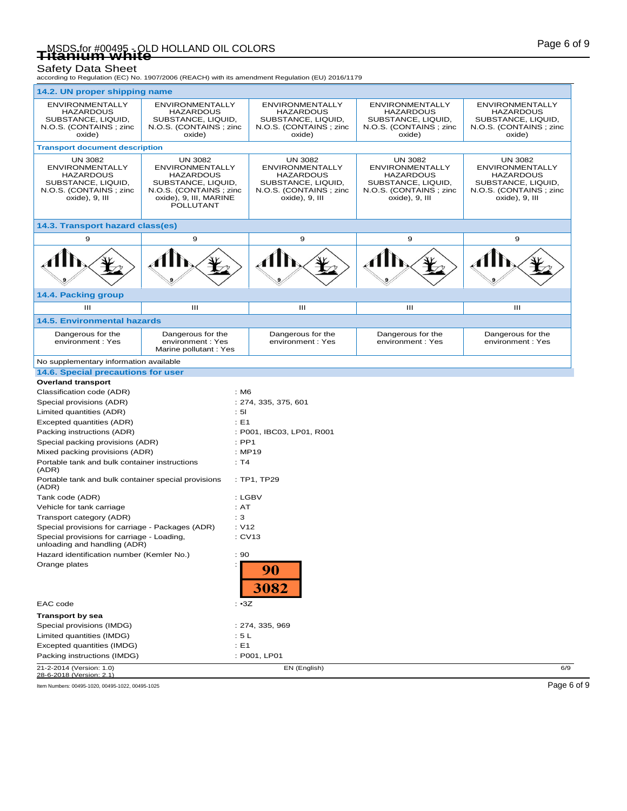# Page 6 of 9 MSDS for #00495 - OLD HOLLAND OIL COLORS **Titanium white**

Safety Data Sheet<br>according to Regulation (EC) No. 1907/2006 (REACH) with its amendment Regulation (EU) 2016/1179

| 14.2. UN proper shipping name                                                                                                  |                                                                                                                                                     |                                                                                                                                |                                                                                                                                |                                                                                                                         |
|--------------------------------------------------------------------------------------------------------------------------------|-----------------------------------------------------------------------------------------------------------------------------------------------------|--------------------------------------------------------------------------------------------------------------------------------|--------------------------------------------------------------------------------------------------------------------------------|-------------------------------------------------------------------------------------------------------------------------|
| <b>ENVIRONMENTALLY</b><br><b>HAZARDOUS</b><br>SUBSTANCE, LIQUID,<br>N.O.S. (CONTAINS; zinc<br>oxide)                           | <b>ENVIRONMENTALLY</b><br><b>HAZARDOUS</b><br>SUBSTANCE, LIQUID,<br>N.O.S. (CONTAINS; zinc.<br>oxide)                                               | <b>ENVIRONMENTALLY</b><br><b>HAZARDOUS</b><br>SUBSTANCE, LIQUID,<br>N.O.S. (CONTAINS; zinc<br>oxide)                           | <b>ENVIRONMENTALLY</b><br><b>HAZARDOUS</b><br>SUBSTANCE, LIQUID,<br>N.O.S. (CONTAINS; zinc<br>oxide)                           | <b>ENVIRONMENTALLY</b><br><b>HAZARDOUS</b><br>SUBSTANCE, LIQUID,<br>N.O.S. (CONTAINS; zinc<br>oxide)                    |
| <b>Transport document description</b>                                                                                          |                                                                                                                                                     |                                                                                                                                |                                                                                                                                |                                                                                                                         |
| <b>UN 3082</b><br><b>ENVIRONMENTALLY</b><br><b>HAZARDOUS</b><br>SUBSTANCE, LIQUID,<br>N.O.S. (CONTAINS; zinc<br>oxide), 9, III | <b>UN 3082</b><br><b>ENVIRONMENTALLY</b><br><b>HAZARDOUS</b><br>SUBSTANCE, LIQUID,<br>N.O.S. (CONTAINS; zinc<br>oxide), 9, III, MARINE<br>POLLUTANT | <b>UN 3082</b><br><b>ENVIRONMENTALLY</b><br><b>HAZARDOUS</b><br>SUBSTANCE, LIQUID,<br>N.O.S. (CONTAINS; zinc<br>oxide), 9, III | <b>UN 3082</b><br><b>ENVIRONMENTALLY</b><br><b>HAZARDOUS</b><br>SUBSTANCE, LIQUID,<br>N.O.S. (CONTAINS; zinc<br>oxide), 9, III | UN 3082<br><b>ENVIRONMENTALLY</b><br><b>HAZARDOUS</b><br>SUBSTANCE, LIQUID,<br>N.O.S. (CONTAINS; zinc<br>oxide), 9, III |
| 14.3. Transport hazard class(es)                                                                                               |                                                                                                                                                     |                                                                                                                                |                                                                                                                                |                                                                                                                         |
| 9                                                                                                                              | 9                                                                                                                                                   | 9                                                                                                                              | 9                                                                                                                              | 9                                                                                                                       |
|                                                                                                                                |                                                                                                                                                     |                                                                                                                                |                                                                                                                                |                                                                                                                         |
| 14.4. Packing group                                                                                                            |                                                                                                                                                     |                                                                                                                                |                                                                                                                                |                                                                                                                         |
| Ш                                                                                                                              | $\mathbf{III}$                                                                                                                                      | Ш                                                                                                                              | Ш                                                                                                                              | III                                                                                                                     |
| <b>14.5. Environmental hazards</b>                                                                                             |                                                                                                                                                     |                                                                                                                                |                                                                                                                                |                                                                                                                         |
| Dangerous for the<br>environment: Yes                                                                                          | Dangerous for the<br>environment: Yes<br>Marine pollutant: Yes                                                                                      | Dangerous for the<br>environment : Yes                                                                                         | Dangerous for the<br>environment: Yes                                                                                          | Dangerous for the<br>environment : Yes                                                                                  |
| No supplementary information available                                                                                         |                                                                                                                                                     |                                                                                                                                |                                                                                                                                |                                                                                                                         |
| 14.6. Special precautions for user                                                                                             |                                                                                                                                                     |                                                                                                                                |                                                                                                                                |                                                                                                                         |
| <b>Overland transport</b>                                                                                                      |                                                                                                                                                     |                                                                                                                                |                                                                                                                                |                                                                                                                         |
| Classification code (ADR)                                                                                                      |                                                                                                                                                     | : M6                                                                                                                           |                                                                                                                                |                                                                                                                         |
| Special provisions (ADR)<br>Limited quantities (ADR)                                                                           |                                                                                                                                                     | : 274, 335, 375, 601<br>: 51                                                                                                   |                                                                                                                                |                                                                                                                         |
| Excepted quantities (ADR)                                                                                                      |                                                                                                                                                     | $\div$ E1                                                                                                                      |                                                                                                                                |                                                                                                                         |
| Packing instructions (ADR)                                                                                                     |                                                                                                                                                     | : P001, IBC03, LP01, R001                                                                                                      |                                                                                                                                |                                                                                                                         |
| Special packing provisions (ADR)                                                                                               |                                                                                                                                                     | $:$ PP1                                                                                                                        |                                                                                                                                |                                                                                                                         |
| Mixed packing provisions (ADR)                                                                                                 |                                                                                                                                                     | : MP19                                                                                                                         |                                                                                                                                |                                                                                                                         |
| Portable tank and bulk container instructions<br>(ADR)                                                                         |                                                                                                                                                     | : T4                                                                                                                           |                                                                                                                                |                                                                                                                         |
| Portable tank and bulk container special provisions<br>(ADR)                                                                   |                                                                                                                                                     | : TP1, TP29                                                                                                                    |                                                                                                                                |                                                                                                                         |
| Tank code (ADR)                                                                                                                |                                                                                                                                                     | : LGBV                                                                                                                         |                                                                                                                                |                                                                                                                         |
| Vehicle for tank carriage                                                                                                      |                                                                                                                                                     | : AT                                                                                                                           |                                                                                                                                |                                                                                                                         |
| Transport category (ADR)                                                                                                       |                                                                                                                                                     | : 3                                                                                                                            |                                                                                                                                |                                                                                                                         |
| Special provisions for carriage - Packages (ADR)                                                                               |                                                                                                                                                     | : V12<br>: CV13                                                                                                                |                                                                                                                                |                                                                                                                         |
| Special provisions for carriage - Loading,<br>unloading and handling (ADR)                                                     |                                                                                                                                                     |                                                                                                                                |                                                                                                                                |                                                                                                                         |
| Hazard identification number (Kemler No.)<br>: 90                                                                              |                                                                                                                                                     |                                                                                                                                |                                                                                                                                |                                                                                                                         |
| Orange plates                                                                                                                  |                                                                                                                                                     | 90<br><b>3082</b>                                                                                                              |                                                                                                                                |                                                                                                                         |
| EAC code                                                                                                                       |                                                                                                                                                     | $: \cdot 3Z$                                                                                                                   |                                                                                                                                |                                                                                                                         |
| <b>Transport by sea</b>                                                                                                        |                                                                                                                                                     |                                                                                                                                |                                                                                                                                |                                                                                                                         |
| Special provisions (IMDG)                                                                                                      |                                                                                                                                                     | : 274, 335, 969                                                                                                                |                                                                                                                                |                                                                                                                         |
| Limited quantities (IMDG)                                                                                                      |                                                                                                                                                     | : 5L                                                                                                                           |                                                                                                                                |                                                                                                                         |
| Excepted quantities (IMDG)                                                                                                     |                                                                                                                                                     | $E = 1$                                                                                                                        |                                                                                                                                |                                                                                                                         |
| Packing instructions (IMDG)<br>21-2-2014 (Version: 1.0)                                                                        |                                                                                                                                                     | : P001, LP01<br>EN (English)                                                                                                   |                                                                                                                                | 6/9                                                                                                                     |
| 28-6-2018 (Version: 2.1)                                                                                                       |                                                                                                                                                     |                                                                                                                                |                                                                                                                                |                                                                                                                         |
| Item Numbers: 00495-1020, 00495-1022, 00495-1025                                                                               |                                                                                                                                                     |                                                                                                                                |                                                                                                                                | Page 6 of 9                                                                                                             |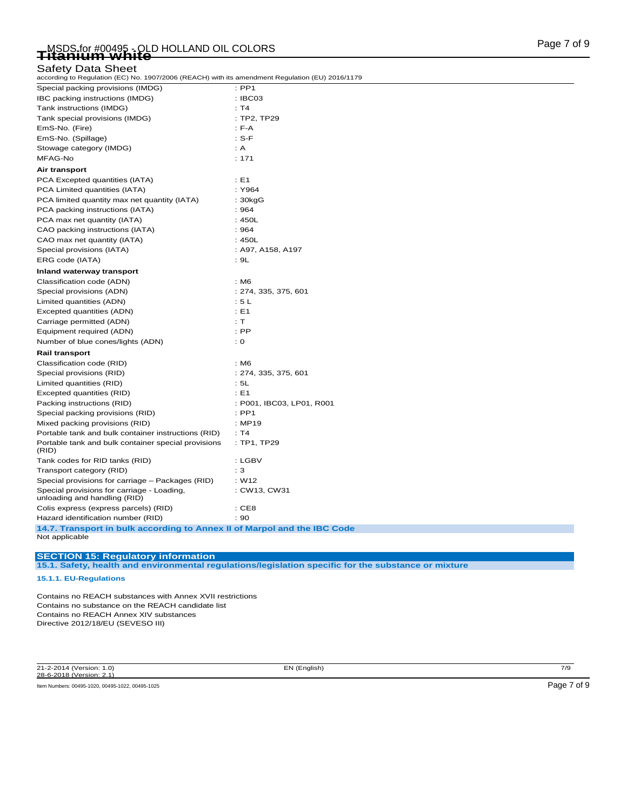## Safety Data Sheet

according to Regulation (EC) No. 1907/2006 (REACH) with its amendment Regulation (EU) 2016/1179

| Special packing provisions (IMDG)                                                          | $:$ PP1                   |
|--------------------------------------------------------------------------------------------|---------------------------|
| IBC packing instructions (IMDG)                                                            | : IBC03                   |
| Tank instructions (IMDG)                                                                   | : T4                      |
| Tank special provisions (IMDG)                                                             | : TP2, TP29               |
| EmS-No. (Fire)                                                                             | $: F-A$                   |
| EmS-No. (Spillage)                                                                         | $: S-F$                   |
| Stowage category (IMDG)                                                                    | : A                       |
| MFAG-No                                                                                    | : 171                     |
| Air transport                                                                              |                           |
| PCA Excepted quantities (IATA)                                                             | : E1                      |
| PCA Limited quantities (IATA)                                                              | : Y964                    |
| PCA limited quantity max net quantity (IATA)                                               | : 30kgG                   |
| PCA packing instructions (IATA)                                                            | :964                      |
| PCA max net quantity (IATA)                                                                | :450L                     |
| CAO packing instructions (IATA)                                                            | :964                      |
| CAO max net quantity (IATA)                                                                | :450L                     |
| Special provisions (IATA)                                                                  | : A97, A158, A197         |
| ERG code (IATA)                                                                            | : 9L                      |
| Inland waterway transport                                                                  |                           |
| Classification code (ADN)                                                                  | : M6                      |
| Special provisions (ADN)                                                                   | : 274, 335, 375, 601      |
| Limited quantities (ADN)                                                                   | : 5L                      |
| Excepted quantities (ADN)                                                                  | : E1                      |
| Carriage permitted (ADN)                                                                   | : T                       |
| Equipment required (ADN)                                                                   | $:$ PP                    |
| Number of blue cones/lights (ADN)                                                          | : 0                       |
| <b>Rail transport</b>                                                                      |                           |
| Classification code (RID)                                                                  | : M6                      |
| Special provisions (RID)                                                                   | : 274, 335, 375, 601      |
| Limited quantities (RID)                                                                   | : 5L                      |
| Excepted quantities (RID)                                                                  | : E1                      |
| Packing instructions (RID)                                                                 | : P001, IBC03, LP01, R001 |
| Special packing provisions (RID)                                                           | $:$ PP1                   |
| Mixed packing provisions (RID)                                                             | : MP19                    |
| Portable tank and bulk container instructions (RID)                                        | : T4                      |
| Portable tank and bulk container special provisions<br>(RID)                               | : TP1, TP29               |
| Tank codes for RID tanks (RID)                                                             | : LGBV                    |
| Transport category (RID)                                                                   | : 3                       |
| Special provisions for carriage - Packages (RID)                                           | : W12                     |
| Special provisions for carriage - Loading,<br>unloading and handling (RID)                 | : CW13, CW31              |
| Colis express (express parcels) (RID)                                                      | :CE8                      |
| Hazard identification number (RID)                                                         | : 90                      |
| 14.7. Transport in bulk according to Annex II of Marpol and the IBC Code<br>Not applicable |                           |

**15.1. Safety, health and environmental regulations/legislation specific for the substance or mixture**

**SECTION 15: Regulatory information**

**15.1.1. EU-Regulations**

Contains no REACH substances with Annex XVII restrictions Contains no substance on the REACH candidate list Contains no REACH Annex XIV substances Directive 2012/18/EU (SEVESO III)

21-2-2014 (Version: 1.0) EN (English) 7/9 28-6-2018 (Version: 2.1)

Item Numbers: 00495-1020, 00495-1022, 00495-1025 Page 7 of 9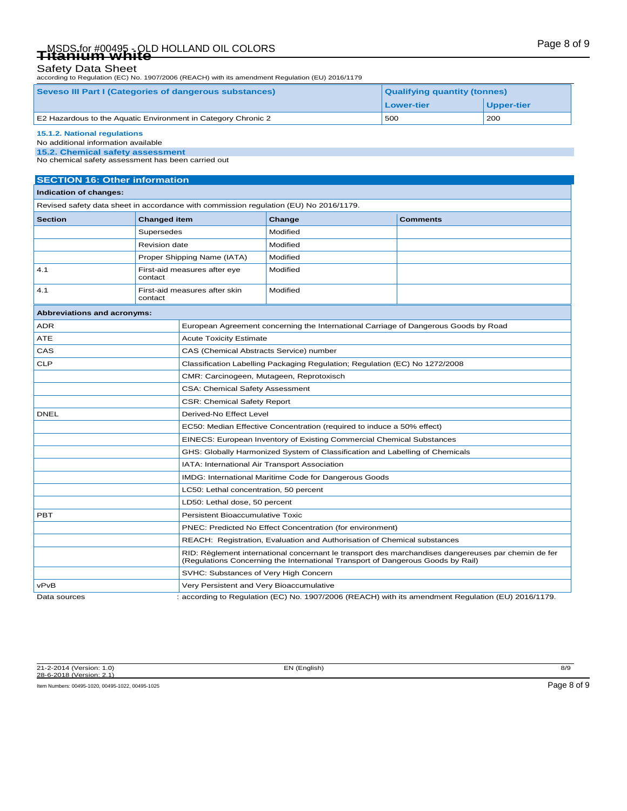# Page 8 of 9 MSDS for #00495 - OLD HOLLAND OIL COLORS **Titanium white**

### Safety Data Sheet

according to Regulation (EC) No. 1907/2006 (REACH) with its amendment Regulation (EU) 2016/1179

| Seveso III Part I (Categories of dangerous substances)<br><b>Qualifying quantity (tonnes)</b> |            |            |  |
|-----------------------------------------------------------------------------------------------|------------|------------|--|
|                                                                                               | Lower-tier | Upper-tier |  |
| E2 Hazardous to the Aquatic Environment in Category Chronic 2                                 | 500        | 200        |  |
| 15.1.2. National regulations                                                                  |            |            |  |

#### No additional information available

**15.2. Chemical safety assessment**

No chemical safety assessment has been carried out

### **SECTION 16: Other information**

#### **Indication of changes:**

Revised safety data sheet in accordance with commission regulation (EU) No 2016/1179.

| <b>Section</b> | <b>Changed item</b>                      | Change   | <b>Comments</b> |
|----------------|------------------------------------------|----------|-----------------|
|                | Supersedes                               | Modified |                 |
|                | <b>Revision date</b>                     | Modified |                 |
|                | Proper Shipping Name (IATA)              | Modified |                 |
| 4.1            | First-aid measures after eye<br>contact  | Modified |                 |
| 4.1            | First-aid measures after skin<br>contact | Modified |                 |

| Abbreviations and acronyms: |                                                                                                                                                                                        |  |
|-----------------------------|----------------------------------------------------------------------------------------------------------------------------------------------------------------------------------------|--|
| <b>ADR</b>                  | European Agreement concerning the International Carriage of Dangerous Goods by Road                                                                                                    |  |
| <b>ATE</b>                  | <b>Acute Toxicity Estimate</b>                                                                                                                                                         |  |
| CAS                         | CAS (Chemical Abstracts Service) number                                                                                                                                                |  |
| <b>CLP</b>                  | Classification Labelling Packaging Regulation; Regulation (EC) No 1272/2008                                                                                                            |  |
|                             | CMR: Carcinogeen, Mutageen, Reprotoxisch                                                                                                                                               |  |
|                             | <b>CSA: Chemical Safety Assessment</b>                                                                                                                                                 |  |
|                             | <b>CSR: Chemical Safety Report</b>                                                                                                                                                     |  |
| <b>DNEL</b>                 | Derived-No Effect Level                                                                                                                                                                |  |
|                             | EC50: Median Effective Concentration (required to induce a 50% effect)                                                                                                                 |  |
|                             | EINECS: European Inventory of Existing Commercial Chemical Substances                                                                                                                  |  |
|                             | GHS: Globally Harmonized System of Classification and Labelling of Chemicals                                                                                                           |  |
|                             | IATA: International Air Transport Association                                                                                                                                          |  |
|                             | IMDG: International Maritime Code for Dangerous Goods                                                                                                                                  |  |
|                             | LC50: Lethal concentration, 50 percent                                                                                                                                                 |  |
|                             | LD50: Lethal dose, 50 percent                                                                                                                                                          |  |
| <b>PBT</b>                  | <b>Persistent Bioaccumulative Toxic</b>                                                                                                                                                |  |
|                             | PNEC: Predicted No Effect Concentration (for environment)                                                                                                                              |  |
|                             | REACH: Registration, Evaluation and Authorisation of Chemical substances                                                                                                               |  |
|                             | RID: Règlement international concernant le transport des marchandises dangereuses par chemin de fer<br>(Regulations Concerning the International Transport of Dangerous Goods by Rail) |  |
|                             | SVHC: Substances of Very High Concern                                                                                                                                                  |  |
| vPvB                        | Very Persistent and Very Bioaccumulative                                                                                                                                               |  |
|                             |                                                                                                                                                                                        |  |

Data sources : according to Regulation (EC) No. 1907/2006 (REACH) with its amendment Regulation (EU) 2016/1179.

21-2-2014 (Version: 1.0) EN (English) 8/9 28-6-2018 (Version: 2.1)

Item Numbers: 00495-1020, 00495-1022, 00495-1025